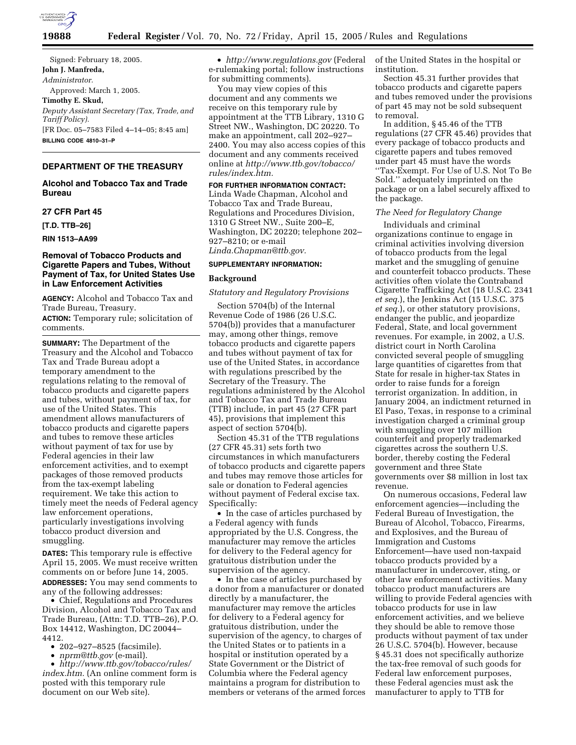

Signed: February 18, 2005. **John J. Manfreda,**  *Administrator.*  Approved: March 1, 2005. **Timothy E. Skud,**  *Deputy Assistant Secretary (Tax, Trade, and Tariff Policy).* [FR Doc. 05–7583 Filed 4–14–05; 8:45 am] **BILLING CODE 4810–31–P**

# **DEPARTMENT OF THE TREASURY**

## **Alcohol and Tobacco Tax and Trade Bureau**

### **27 CFR Part 45**

**[T.D. TTB–26]** 

**RIN 1513–AA99** 

# **Removal of Tobacco Products and Cigarette Papers and Tubes, Without Payment of Tax, for United States Use in Law Enforcement Activities**

**AGENCY:** Alcohol and Tobacco Tax and Trade Bureau, Treasury.

**ACTION:** Temporary rule; solicitation of comments.

**SUMMARY:** The Department of the Treasury and the Alcohol and Tobacco Tax and Trade Bureau adopt a temporary amendment to the regulations relating to the removal of tobacco products and cigarette papers and tubes, without payment of tax, for use of the United States. This amendment allows manufacturers of tobacco products and cigarette papers and tubes to remove these articles without payment of tax for use by Federal agencies in their law enforcement activities, and to exempt packages of those removed products from the tax-exempt labeling requirement. We take this action to timely meet the needs of Federal agency law enforcement operations, particularly investigations involving tobacco product diversion and smuggling.

**DATES:** This temporary rule is effective April 15, 2005. We must receive written comments on or before June 14, 2005. **ADDRESSES:** You may send comments to any of the following addresses:

• Chief, Regulations and Procedures Division, Alcohol and Tobacco Tax and Trade Bureau, (Attn: T.D. TTB–26), P.O. Box 14412, Washington, DC 20044– 4412.

- 202–927–8525 (facsimile).
- *nprm@ttb.gov* (e-mail).

• *http://www.ttb.gov/tobacco/rules/ index.htm.* (An online comment form is posted with this temporary rule document on our Web site).

• *http://www.regulations.gov* (Federal e-rulemaking portal; follow instructions for submitting comments).

You may view copies of this document and any comments we receive on this temporary rule by appointment at the TTB Library, 1310 G Street NW., Washington, DC 20220. To make an appointment, call 202–927– 2400. You may also access copies of this document and any comments received online at *http://www.ttb.gov/tobacco/ rules/index.htm.*

**FOR FURTHER INFORMATION CONTACT:** Linda Wade Chapman, Alcohol and Tobacco Tax and Trade Bureau, Regulations and Procedures Division, 1310 G Street NW., Suite 200–E, Washington, DC 20220; telephone 202– 927–8210; or e-mail *Linda.Chapman@ttb.gov.*

## **SUPPLEMENTARY INFORMATION:**

## **Background**

## *Statutory and Regulatory Provisions*

Section 5704(b) of the Internal Revenue Code of 1986 (26 U.S.C. 5704(b)) provides that a manufacturer may, among other things, remove tobacco products and cigarette papers and tubes without payment of tax for use of the United States, in accordance with regulations prescribed by the Secretary of the Treasury. The regulations administered by the Alcohol and Tobacco Tax and Trade Bureau (TTB) include, in part 45 (27 CFR part 45), provisions that implement this aspect of section 5704(b).

Section 45.31 of the TTB regulations (27 CFR 45.31) sets forth two circumstances in which manufacturers of tobacco products and cigarette papers and tubes may remove those articles for sale or donation to Federal agencies without payment of Federal excise tax. Specifically:

• In the case of articles purchased by a Federal agency with funds appropriated by the U.S. Congress, the manufacturer may remove the articles for delivery to the Federal agency for gratuitous distribution under the supervision of the agency.

• In the case of articles purchased by a donor from a manufacturer or donated directly by a manufacturer, the manufacturer may remove the articles for delivery to a Federal agency for gratuitous distribution, under the supervision of the agency, to charges of the United States or to patients in a hospital or institution operated by a State Government or the District of Columbia where the Federal agency maintains a program for distribution to members or veterans of the armed forces of the United States in the hospital or institution.

Section 45.31 further provides that tobacco products and cigarette papers and tubes removed under the provisions of part 45 may not be sold subsequent to removal.

In addition, § 45.46 of the TTB regulations (27 CFR 45.46) provides that every package of tobacco products and cigarette papers and tubes removed under part 45 must have the words ''Tax-Exempt. For Use of U.S. Not To Be Sold.'' adequately imprinted on the package or on a label securely affixed to the package.

### *The Need for Regulatory Change*

Individuals and criminal organizations continue to engage in criminal activities involving diversion of tobacco products from the legal market and the smuggling of genuine and counterfeit tobacco products. These activities often violate the Contraband Cigarette Trafficking Act (18 U.S.C. 2341 *et seq.*), the Jenkins Act (15 U.S.C. 375 *et seq.*), or other statutory provisions, endanger the public, and jeopardize Federal, State, and local government revenues. For example, in 2002, a U.S. district court in North Carolina convicted several people of smuggling large quantities of cigarettes from that State for resale in higher-tax States in order to raise funds for a foreign terrorist organization. In addition, in January 2004, an indictment returned in El Paso, Texas, in response to a criminal investigation charged a criminal group with smuggling over 107 million counterfeit and properly trademarked cigarettes across the southern U.S. border, thereby costing the Federal government and three State governments over \$8 million in lost tax revenue.

On numerous occasions, Federal law enforcement agencies—including the Federal Bureau of Investigation, the Bureau of Alcohol, Tobacco, Firearms, and Explosives, and the Bureau of Immigration and Customs Enforcement—have used non-taxpaid tobacco products provided by a manufacturer in undercover, sting, or other law enforcement activities. Many tobacco product manufacturers are willing to provide Federal agencies with tobacco products for use in law enforcement activities, and we believe they should be able to remove those products without payment of tax under 26 U.S.C. 5704(b). However, because § 45.31 does not specifically authorize the tax-free removal of such goods for Federal law enforcement purposes, these Federal agencies must ask the manufacturer to apply to TTB for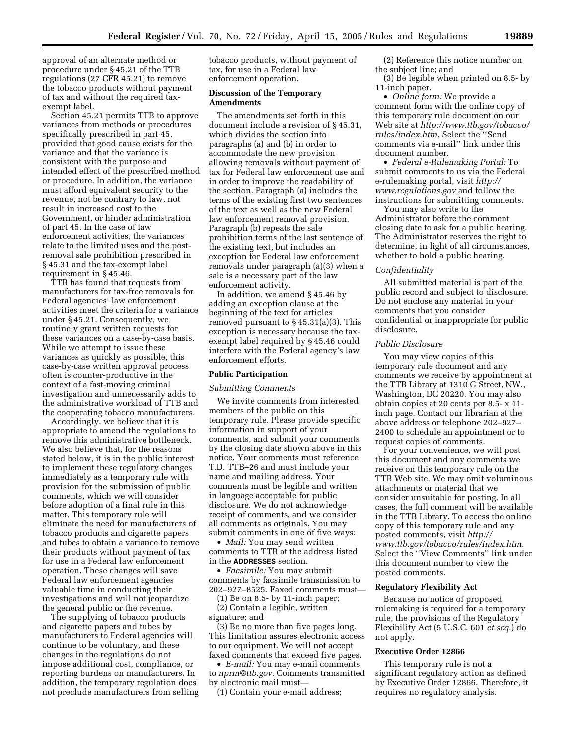approval of an alternate method or procedure under § 45.21 of the TTB regulations (27 CFR 45.21) to remove the tobacco products without payment of tax and without the required taxexempt label.

Section 45.21 permits TTB to approve variances from methods or procedures specifically prescribed in part 45, provided that good cause exists for the variance and that the variance is consistent with the purpose and intended effect of the prescribed method or procedure. In addition, the variance must afford equivalent security to the revenue, not be contrary to law, not result in increased cost to the Government, or hinder administration of part 45. In the case of law enforcement activities, the variances relate to the limited uses and the postremoval sale prohibition prescribed in § 45.31 and the tax-exempt label requirement in § 45.46.

TTB has found that requests from manufacturers for tax-free removals for Federal agencies' law enforcement activities meet the criteria for a variance under § 45.21. Consequently, we routinely grant written requests for these variances on a case-by-case basis. While we attempt to issue these variances as quickly as possible, this case-by-case written approval process often is counter-productive in the context of a fast-moving criminal investigation and unnecessarily adds to the administrative workload of TTB and the cooperating tobacco manufacturers.

Accordingly, we believe that it is appropriate to amend the regulations to remove this administrative bottleneck. We also believe that, for the reasons stated below, it is in the public interest to implement these regulatory changes immediately as a temporary rule with provision for the submission of public comments, which we will consider before adoption of a final rule in this matter. This temporary rule will eliminate the need for manufacturers of tobacco products and cigarette papers and tubes to obtain a variance to remove their products without payment of tax for use in a Federal law enforcement operation. These changes will save Federal law enforcement agencies valuable time in conducting their investigations and will not jeopardize the general public or the revenue.

The supplying of tobacco products and cigarette papers and tubes by manufacturers to Federal agencies will continue to be voluntary, and these changes in the regulations do not impose additional cost, compliance, or reporting burdens on manufacturers. In addition, the temporary regulation does not preclude manufacturers from selling tobacco products, without payment of tax, for use in a Federal law enforcement operation.

### **Discussion of the Temporary Amendments**

The amendments set forth in this document include a revision of § 45.31, which divides the section into paragraphs (a) and (b) in order to accommodate the new provision allowing removals without payment of tax for Federal law enforcement use and in order to improve the readability of the section. Paragraph (a) includes the terms of the existing first two sentences of the text as well as the new Federal law enforcement removal provision. Paragraph (b) repeats the sale prohibition terms of the last sentence of the existing text, but includes an exception for Federal law enforcement removals under paragraph (a)(3) when a sale is a necessary part of the law enforcement activity.

In addition, we amend § 45.46 by adding an exception clause at the beginning of the text for articles removed pursuant to § 45.31(a)(3). This exception is necessary because the taxexempt label required by § 45.46 could interfere with the Federal agency's law enforcement efforts.

#### **Public Participation**

#### *Submitting Comments*

We invite comments from interested members of the public on this temporary rule. Please provide specific information in support of your comments, and submit your comments by the closing date shown above in this notice. Your comments must reference T.D. TTB–26 and must include your name and mailing address. Your comments must be legible and written in language acceptable for public disclosure. We do not acknowledge receipt of comments, and we consider all comments as originals. You may submit comments in one of five ways:

• *Mail:* You may send written comments to TTB at the address listed in the **ADDRESSES** section.

• *Facsimile:* You may submit comments by facsimile transmission to 202–927–8525. Faxed comments must—

(1) Be on 8.5- by 11-inch paper; (2) Contain a legible, written signature; and

(3) Be no more than five pages long. This limitation assures electronic access to our equipment. We will not accept faxed comments that exceed five pages.

• *E-mail:* You may e-mail comments to *nprm@ttb.gov.* Comments transmitted by electronic mail must—

(1) Contain your e-mail address;

(2) Reference this notice number on the subject line; and

(3) Be legible when printed on 8.5- by 11-inch paper.

• *Online form:* We provide a comment form with the online copy of this temporary rule document on our Web site at *http://www.ttb.gov/tobacco/ rules/index.htm.* Select the ''Send comments via e-mail'' link under this document number.

• *Federal e-Rulemaking Portal:* To submit comments to us via the Federal e-rulemaking portal, visit *http:// www.regulations.gov* and follow the instructions for submitting comments.

You may also write to the Administrator before the comment closing date to ask for a public hearing. The Administrator reserves the right to determine, in light of all circumstances, whether to hold a public hearing.

#### *Confidentiality*

All submitted material is part of the public record and subject to disclosure. Do not enclose any material in your comments that you consider confidential or inappropriate for public disclosure.

# *Public Disclosure*

You may view copies of this temporary rule document and any comments we receive by appointment at the TTB Library at 1310 G Street, NW., Washington, DC 20220. You may also obtain copies at 20 cents per 8.5- x 11 inch page. Contact our librarian at the above address or telephone 202–927– 2400 to schedule an appointment or to request copies of comments.

For your convenience, we will post this document and any comments we receive on this temporary rule on the TTB Web site. We may omit voluminous attachments or material that we consider unsuitable for posting. In all cases, the full comment will be available in the TTB Library. To access the online copy of this temporary rule and any posted comments, visit *http:// www.ttb.gov/tobacco/rules/index.htm.* Select the ''View Comments'' link under this document number to view the posted comments.

#### **Regulatory Flexibility Act**

Because no notice of proposed rulemaking is required for a temporary rule, the provisions of the Regulatory Flexibility Act (5 U.S.C. 601 *et seq.*) do not apply.

#### **Executive Order 12866**

This temporary rule is not a significant regulatory action as defined by Executive Order 12866. Therefore, it requires no regulatory analysis.